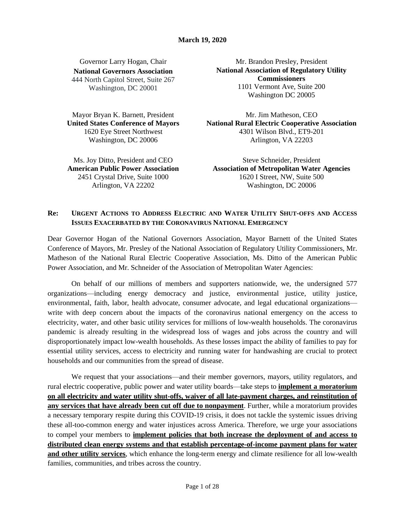## Governor Larry Hogan, Chair **National Governors Association** 444 North Capitol Street, Suite 267 Washington, DC 20001

Mayor Bryan K. Barnett, President **United States Conference of Mayors** 1620 Eye Street Northwest Washington, DC 20006

Ms. Joy Ditto, President and CEO **American Public Power Association** 2451 Crystal Drive, Suite 1000 Arlington, VA 22202

Mr. Brandon Presley, President **National Association of Regulatory Utility Commissioners** 1101 Vermont Ave, Suite 200 Washington DC 20005

Mr. Jim Matheson, CEO **National Rural Electric Cooperative Association** 4301 Wilson Blvd., ET9-201 Arlington, VA 22203

Steve Schneider, President **Association of Metropolitan Water Agencies** 1620 I Street, NW, Suite 500 Washington, DC 20006

# Re: URGENT ACTIONS TO ADDRESS ELECTRIC AND WATER UTILITY SHUT-OFFS AND ACCESS **ISSUES EXACERBATED BY THE CORONAVIRUS NATIONAL EMERGENCY**

Dear Governor Hogan of the National Governors Association, Mayor Barnett of the United States Conference of Mayors, Mr. Presley of the National Association of Regulatory Utility Commissioners, Mr. Matheson of the National Rural Electric Cooperative Association, Ms. Ditto of the American Public Power Association, and Mr. Schneider of the Association of Metropolitan Water Agencies:

On behalf of our millions of members and supporters nationwide, we, the undersigned 577 organizations—including energy democracy and justice, environmental justice, utility justice, environmental, faith, labor, health advocate, consumer advocate, and legal educational organizations write with deep concern about the impacts of the coronavirus national emergency on the access to electricity, water, and other basic utility services for millions of low-wealth households. The coronavirus pandemic is already resulting in the widespread loss of wages and jobs across the country and will disproportionately impact low-wealth households. As these losses impact the ability of families to pay for essential utility services, access to electricity and running water for handwashing are crucial to protect households and our communities from the spread of disease.

We request that your associations—and their member governors, mayors, utility regulators, and rural electric cooperative, public power and water utility boards—take steps to **implement a moratorium on all electricity and water utility shut-offs, waiver of all late-payment charges, and reinstitution of any services that have already been cut off due to nonpayment**. Further, while a moratorium provides a necessary temporary respite during this COVID-19 crisis, it does not tackle the systemic issues driving these all-too-common energy and water injustices across America. Therefore, we urge your associations to compel your members to **implement policies that both increase the deployment of and access to distributed clean energy systems and that establish percentage-of-income payment plans for water and other utility services**, which enhance the long-term energy and climate resilience for all low-wealth families, communities, and tribes across the country.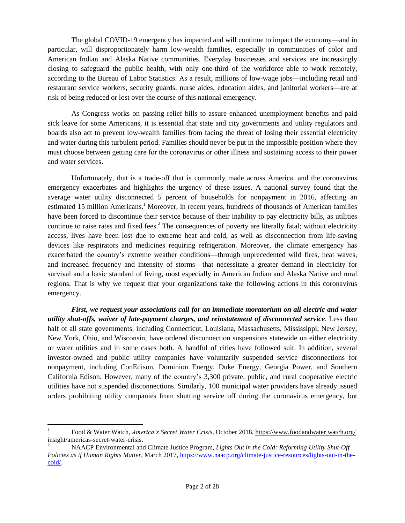The global COVID-19 emergency has impacted and will continue to impact the economy—and in particular, will disproportionately harm low-wealth families, especially in communities of color and American Indian and Alaska Native communities. Everyday businesses and services are increasingly closing to safeguard the public health, with only one-third of the workforce able to work remotely, according to the Bureau of Labor Statistics. As a result, millions of low-wage jobs—including retail and restaurant service workers, security guards, nurse aides, education aides, and janitorial workers—are at risk of being reduced or lost over the course of this national emergency.

As Congress works on passing relief bills to assure enhanced unemployment benefits and paid sick leave for some Americans, it is essential that state and city governments and utility regulators and boards also act to prevent low-wealth families from facing the threat of losing their essential electricity and water during this turbulent period. Families should never be put in the impossible position where they must choose between getting care for the coronavirus or other illness and sustaining access to their power and water services.

Unfortunately, that is a trade-off that is commonly made across America, and the coronavirus emergency exacerbates and highlights the urgency of these issues. A national survey found that the average water utility disconnected 5 percent of households for nonpayment in 2016, affecting an estimated 15 million Americans.<sup>1</sup> Moreover, in recent years, hundreds of thousands of American families have been forced to discontinue their service because of their inability to pay electricity bills, as utilities continue to raise rates and fixed fees.<sup>2</sup> The consequences of poverty are literally fatal; without electricity access, lives have been lost due to extreme heat and cold, as well as disconnection from life-saving devices like respirators and medicines requiring refrigeration. Moreover, the climate emergency has exacerbated the country's extreme weather conditions—through unprecedented wild fires, heat waves, and increased frequency and intensity of storms—that necessitate a greater demand in electricity for survival and a basic standard of living, most especially in American Indian and Alaska Native and rural regions. That is why we request that your organizations take the following actions in this coronavirus emergency.

*First, we request your associations call for an immediate moratorium on all electric and water utility shut-offs, waiver of late-payment charges, and reinstatement of disconnected service*. Less than half of all state governments, including Connecticut, Louisiana, Massachusetts, Mississippi, New Jersey, New York, Ohio, and Wisconsin, have ordered disconnection suspensions statewide on either electricity or water utilities and in some cases both. A handful of cities have followed suit. In addition, several investor-owned and public utility companies have voluntarily suspended service disconnections for nonpayment, including ConEdison, Dominion Energy, Duke Energy, Georgia Power, and Southern California Edison. However, many of the country's 3,300 private, public, and rural cooperative electric utilities have not suspended disconnections. Similarly, 100 municipal water providers have already issued orders prohibiting utility companies from shutting service off during the coronavirus emergency, but

 $\overline{a}$ 

<sup>1</sup> Food & Water Watch, *America's Secret Water Crisis,* October 2018, https://www.foodandwater watch.org/ insight/americas-secret-water-crisis.

<sup>2</sup> NAACP Environmental and Climate Justice Program, *Lights Out in the Cold: Reforming Utility Shut-Off Policies as if Human Rights Matter*, March 2017, [https://www.naacp.org/climate-justice-resources/lights-out-in-the](https://www.naacp.org/climate-justice-resources/lights-out-in-the-cold/)[cold/.](https://www.naacp.org/climate-justice-resources/lights-out-in-the-cold/)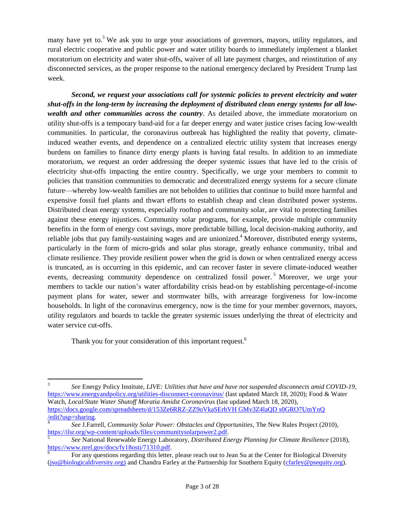many have yet to.<sup>3</sup> We ask you to urge your associations of governors, mayors, utility regulators, and rural electric cooperative and public power and water utility boards to immediately implement a blanket moratorium on electricity and water shut-offs, waiver of all late payment charges, and reinstitution of any disconnected services, as the proper response to the national emergency declared by President Trump last week.

*Second, we request your associations call for systemic policies to prevent electricity and water shut-offs in the long-term by increasing the deployment of distributed clean energy systems for all lowwealth and other communities across the country*. As detailed above, the immediate moratorium on utility shut-offs is a temporary band-aid for a far deeper energy and water justice crises facing low-wealth communities. In particular, the coronavirus outbreak has highlighted the reality that poverty, climateinduced weather events, and dependence on a centralized electric utility system that increases energy burdens on families to finance dirty energy plants is having fatal results. In addition to an immediate moratorium, we request an order addressing the deeper systemic issues that have led to the crisis of electricity shut-offs impacting the entire country. Specifically, we urge your members to commit to policies that transition communities to democratic and decentralized energy systems for a secure climate future—whereby low-wealth families are not beholden to utilities that continue to build more harmful and expensive fossil fuel plants and thwart efforts to establish cheap and clean distributed power systems. Distributed clean energy systems, especially rooftop and community solar, are vital to protecting families against these energy injustices. Community solar programs, for example, provide multiple community benefits in the form of energy cost savings, more predictable billing, local decision-making authority, and reliable jobs that pay family-sustaining wages and are unionized.<sup>4</sup> Moreover, distributed energy systems, particularly in the form of micro-grids and solar plus storage, greatly enhance community, tribal and climate resilience. They provide resilient power when the grid is down or when centralized energy access is truncated, as is occurring in this epidemic, and can recover faster in severe climate-induced weather events, decreasing community dependence on centralized fossil power.<sup>5</sup> Moreover, we urge your members to tackle our nation's water affordability crisis head-on by establishing percentage-of-income payment plans for water, sewer and stormwater bills, with arrearage forgiveness for low-income households. In light of the coronavirus emergency, now is the time for your member governors, mayors, utility regulators and boards to tackle the greater systemic issues underlying the threat of electricity and water service cut-offs.

Thank you for your consideration of this important request.<sup>6</sup>

 $\overline{a}$ 3 *See* Energy Policy Institute, *LIVE: Utilities that have and have not suspended disconnects amid COVID-19*, <https://www.energyandpolicy.org/utilities-disconnect-coronavirus/> (last updated March 18, 2020); Food & Water Watch, *Local/State Water Shutoff Moratia Amidst Coronavirus* (last updated March 18, 2020), https://docs.google.com/spreadsheets/d/153Ze6RRZ-ZZ9oVkaSErhVH GMv3Z4laQD s0GRO7UmYnQ /edit?usp=sharing.

<sup>4</sup> *See* J.Farrell, *Community Solar Power: Obstacles and Opportunities*, The New Rules Project (2010), [https://ilsr.org/wp-content/uploads/files/communitysolarpower2.pdf.](https://ilsr.org/wp-content/uploads/files/communitysolarpower2.pdf)

<sup>5</sup> *See* National Renewable Energy Laboratory, *Distributed Energy Planning for Climate Resilience* (2018), [https://www.nrel.gov/docs/fy18osti/71310.pdf.](https://www.nrel.gov/docs/fy18osti/71310.pdf)

<sup>6</sup> For any questions regarding this letter, please reach out to Jean Su at the Center for Biological Diversity [\(jsu@biologicaldiversity.org\)](mailto:jsu@biologicaldiversity.org) and Chandra Farley at the Partnership for Southern Equity [\(cfarley@psequity.org\)](mailto:cfarley@psequity.org).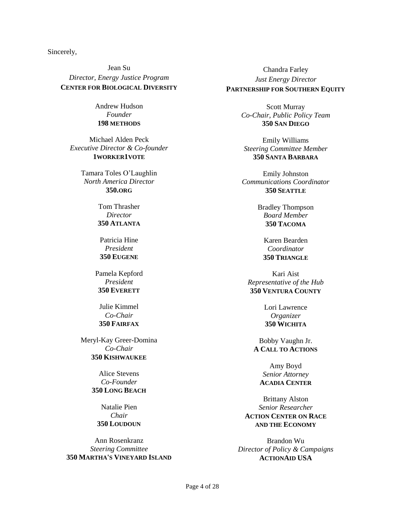Sincerely,

Jean Su *Director, Energy Justice Program* **CENTER FOR BIOLOGICAL DIVERSITY**

> Andrew Hudson *Founder* **198 METHODS**

Michael Alden Peck *Executive Director & Co-founder* **1WORKER1VOTE**

> Tamara Toles O'Laughlin *North America Director* **350.ORG**

> > Tom Thrasher *Director* **350 ATLANTA**

Patricia Hine *President* **350 EUGENE**

Pamela Kepford *President* **350 EVERETT**

Julie Kimmel *Co-Chair* **350 FAIRFAX**

Meryl-Kay Greer-Domina *Co-Chair* **350 KISHWAUKEE**

> Alice Stevens *Co-Founder* **350 LONG BEACH**

Natalie Pien *Chair* **350 LOUDOUN**

Ann Rosenkranz *Steering Committee* **350 MARTHA'S VINEYARD ISLAND**

Chandra Farley *Just Energy Director* **PARTNERSHIP FOR SOUTHERN EQUITY**

> Scott Murray *Co-Chair, Public Policy Team* **350 SAN DIEGO**

Emily Williams *Steering Committee Member* **350 SANTA BARBARA**

Emily Johnston *Communications Coordinator* **350 SEATTLE**

> Bradley Thompson *Board Member* **350 TACOMA**

Karen Bearden *Coordinator* **350 TRIANGLE**

Kari Aist *Representative of the Hub* **350 VENTURA COUNTY**

> Lori Lawrence *Organizer* **350 WICHITA**

Bobby Vaughn Jr. **A CALL TO ACTIONS**

Amy Boyd *Senior Attorney* **ACADIA CENTER**

Brittany Alston *Senior Researcher* **ACTION CENTER ON RACE AND THE ECONOMY**

Brandon Wu *Director of Policy & Campaigns* **ACTIONAID USA**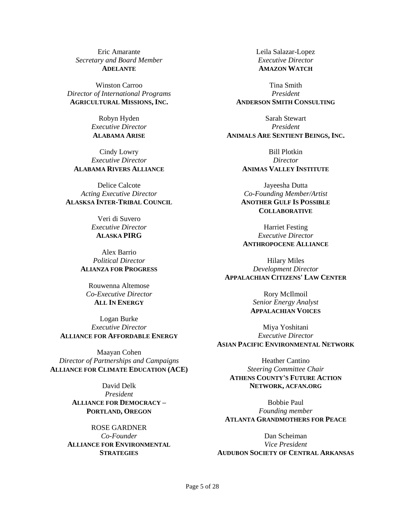Eric Amarante *Secretary and Board Member* **ADELANTE**

Winston Carroo *Director of International Programs* **AGRICULTURAL MISSIONS, INC.**

> Robyn Hyden *Executive Director* **ALABAMA ARISE**

Cindy Lowry *Executive Director* **ALABAMA RIVERS ALLIANCE**

Delice Calcote *Acting Executive Director* **ALASKSA INTER-TRIBAL COUNCIL**

> Veri di Suvero *Executive Director* **ALASKA PIRG**

Alex Barrio *Political Director* **ALIANZA FOR PROGRESS**

Rouwenna Altemose *Co-Executive Director* **ALL IN ENERGY**

Logan Burke *Executive Director* **ALLIANCE FOR AFFORDABLE ENERGY**

Maayan Cohen *Director of Partnerships and Campaigns* **ALLIANCE FOR CLIMATE EDUCATION (ACE)**

> David Delk *President* **ALLIANCE FOR DEMOCRACY – PORTLAND, OREGON**

ROSE GARDNER *Co-Founder* **ALLIANCE FOR ENVIRONMENTAL STRATEGIES**

Leila Salazar-Lopez *Executive Director* **AMAZON WATCH**

Tina Smith *President* **ANDERSON SMITH CONSULTING**

Sarah Stewart *President* **ANIMALS ARE SENTIENT BEINGS, INC.**

> Bill Plotkin *Director* **ANIMAS VALLEY INSTITUTE**

Jayeesha Dutta *Co-Founding Member/Artist* **ANOTHER GULF IS POSSIBLE COLLABORATIVE**

Harriet Festing *Executive Director* **ANTHROPOCENE ALLIANCE**

Hilary Miles *Development Director* **APPALACHIAN CITIZENS' LAW CENTER**

> Rory McIlmoil *Senior Energy Analyst* **APPALACHIAN VOICES**

Miya Yoshitani *Executive Director* **ASIAN PACIFIC ENVIRONMENTAL NETWORK**

Heather Cantino *Steering Committee Chair* **ATHENS COUNTY'S FUTURE ACTION NETWORK, ACFAN.ORG**

Bobbie Paul *Founding member* **ATLANTA GRANDMOTHERS FOR PEACE**

Dan Scheiman *Vice President* **AUDUBON SOCIETY OF CENTRAL ARKANSAS**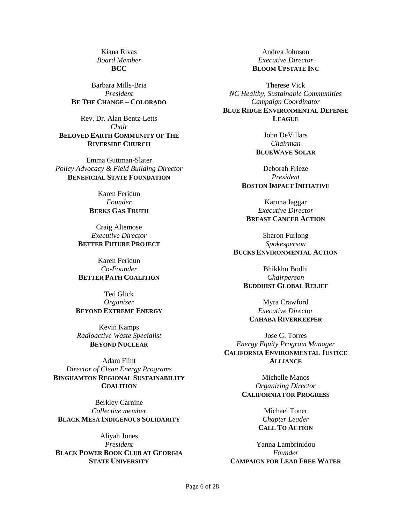Kiana Rivas *Board Member* **BCC**

Barbara Mills-Bria *President* **BE THE CHANGE – COLORADO**

Rev. Dr. Alan Bentz-Letts *Chair* **BELOVED EARTH COMMUNITY OF THE RIVERSIDE CHURCH**

Emma Guttman-Slater *Policy Advocacy & Field Building Director* **BENEFICIAL STATE FOUNDATION**

> Karen Feridun *Founder* **BERKS GAS TRUTH**

Craig Altemose *Executive Director* **BETTER FUTURE PROJECT**

Karen Feridun *Co-Founder* **BETTER PATH COALITION**

Ted Glick *Organizer* **BEYOND EXTREME ENERGY**

Kevin Kamps *Radioactive Waste Specialist* **BEYOND NUCLEAR**

Adam Flint *Director of Clean Energy Programs* **BINGHAMTON REGIONAL SUSTAINABILITY COALITION**

Berkley Carnine *Collective member* **BLACK MESA INDIGENOUS SOLIDARITY**

Aliyah Jones *President* **BLACK POWER BOOK CLUB AT GEORGIA STATE UNIVERSITY**

Andrea Johnson *Executive Director* **BLOOM UPSTATE INC**

Therese Vick *NC Healthy, Sustainable Communities Campaign Coordinator* **BLUE RIDGE ENVIRONMENTAL DEFENSE LEAGUE**

> John DeVillars *Chairman* **BLUEWAVE SOLAR**

Deborah Frieze *President* **BOSTON IMPACT INITIATIVE**

Karuna Jaggar *Executive Director* **BREAST CANCER ACTION**

Sharon Furlong *Spokesperson* **BUCKS ENVIRONMENTAL ACTION**

Bhikkhu Bodhi *Chairperson* **BUDDHIST GLOBAL RELIEF**

Myra Crawford *Executive Director* **CAHABA RIVERKEEPER**

Jose G. Torres *Energy Equity Program Manager* **CALIFORNIA ENVIRONMENTAL JUSTICE ALLIANCE**

> Michelle Manos *Organizing Director* **CALIFORNIA FOR PROGRESS**

> > Michael Toner *Chapter Leader* **CALL TO ACTION**

Yanna Lambrinidou *Founder* **CAMPAIGN FOR LEAD FREE WATER**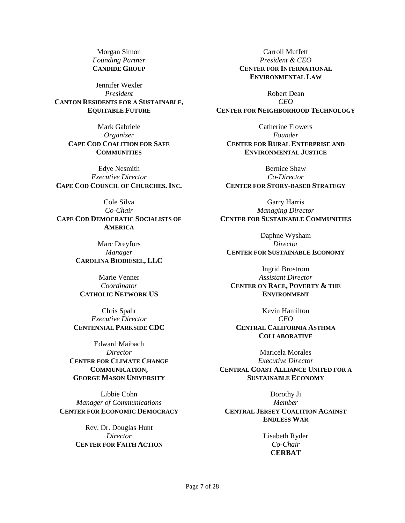Morgan Simon *Founding Partner* **CANDIDE GROUP**

Jennifer Wexler *President* **CANTON RESIDENTS FOR A SUSTAINABLE, EQUITABLE FUTURE**

> Mark Gabriele *Organizer* **CAPE COD COALITION FOR SAFE COMMUNITIES**

Edye Nesmith *Executive Director* **CAPE COD COUNCIL OF CHURCHES. INC.**

Cole Silva *Co-Chair* **CAPE COD DEMOCRATIC SOCIALISTS OF AMERICA**

> Marc Dreyfors *Manager* **CAROLINA BIODIESEL, LLC**

Marie Venner *Coordinator* **CATHOLIC NETWORK US**

Chris Spahr *Executive Director* **CENTENNIAL PARKSIDE CDC**

Edward Maibach *Director* **CENTER FOR CLIMATE CHANGE COMMUNICATION, GEORGE MASON UNIVERSITY**

Libbie Cohn *Manager of Communications* **CENTER FOR ECONOMIC DEMOCRACY**

> Rev. Dr. Douglas Hunt *Director* **CENTER FOR FAITH ACTION**

Carroll Muffett *President & CEO* **CENTER FOR INTERNATIONAL ENVIRONMENTAL LAW**

Robert Dean *CEO* **CENTER FOR NEIGHBORHOOD TECHNOLOGY**

Catherine Flowers *Founder* **CENTER FOR RURAL ENTERPRISE AND ENVIRONMENTAL JUSTICE**

Bernice Shaw *Co-Director* **CENTER FOR STORY-BASED STRATEGY**

Garry Harris *Managing Director* **CENTER FOR SUSTAINABLE COMMUNITIES**

Daphne Wysham *Director* **CENTER FOR SUSTAINABLE ECONOMY**

Ingrid Brostrom *Assistant Director* **CENTER ON RACE, POVERTY & THE ENVIRONMENT**

Kevin Hamilton *CEO* **CENTRAL CALIFORNIA ASTHMA COLLABORATIVE**

Maricela Morales *Executive Director* **CENTRAL COAST ALLIANCE UNITED FOR A SUSTAINABLE ECONOMY**

Dorothy Ji *Member* **CENTRAL JERSEY COALITION AGAINST ENDLESS WAR**

> Lisabeth Ryder *Co-Chair* **CERBAT**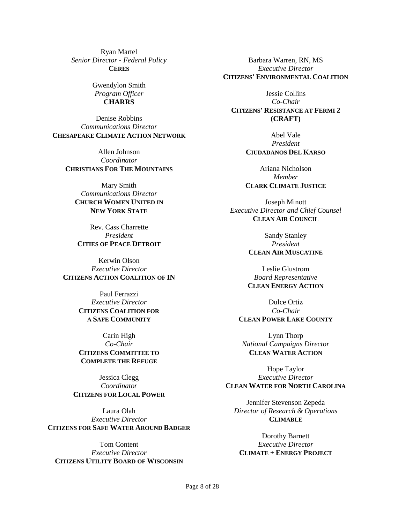Ryan Martel *Senior Director - Federal Policy* **CERES**

> Gwendylon Smith *Program Officer* **CHARRS**

Denise Robbins *Communications Director* **CHESAPEAKE CLIMATE ACTION NETWORK**

Allen Johnson *Coordinator* **CHRISTIANS FOR THE MOUNTAINS**

Mary Smith *Communications Director* **CHURCH WOMEN UNITED IN NEW YORK STATE**

Rev. Cass Charrette *President* **CITIES OF PEACE DETROIT**

Kerwin Olson *Executive Director* **CITIZENS ACTION COALITION OF IN**

> Paul Ferrazzi *Executive Director* **CITIZENS COALITION FOR A SAFE COMMUNITY**

Carin High *Co-Chair* **CITIZENS COMMITTEE TO COMPLETE THE REFUGE**

Jessica Clegg *Coordinator* **CITIZENS FOR LOCAL POWER**

Laura Olah *Executive Director* **CITIZENS FOR SAFE WATER AROUND BADGER**

Tom Content *Executive Director* **CITIZENS UTILITY BOARD OF WISCONSIN**

Barbara Warren, RN, MS *Executive Director* **CITIZENS' ENVIRONMENTAL COALITION**

Jessie Collins *Co-Chair* **CITIZENS' RESISTANCE AT FERMI 2 (CRAFT)**

> Abel Vale *President* **CIUDADANOS DEL KARSO**

Ariana Nicholson *Member* **CLARK CLIMATE JUSTICE**

Joseph Minott *Executive Director and Chief Counsel* **CLEAN AIR COUNCIL**

> Sandy Stanley *President* **CLEAN AIR MUSCATINE**

> Leslie Glustrom *Board Representative* **CLEAN ENERGY ACTION**

Dulce Ortiz *Co-Chair* **CLEAN POWER LAKE COUNTY**

Lynn Thorp *National Campaigns Director* **CLEAN WATER ACTION**

Hope Taylor *Executive Director* **CLEAN WATER FOR NORTH CAROLINA**

Jennifer Stevenson Zepeda *Director of Research & Operations* **CLIMABLE**

Dorothy Barnett *Executive Director* **CLIMATE + ENERGY PROJECT**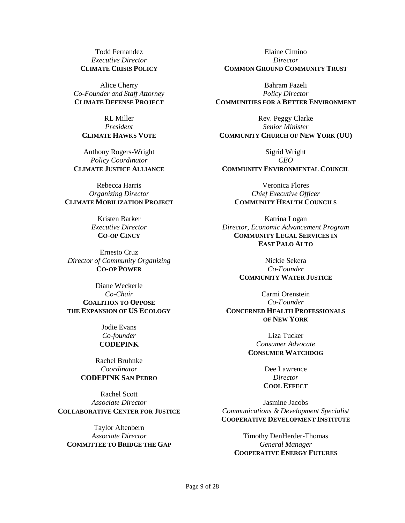Todd Fernandez *Executive Director* **CLIMATE CRISIS POLICY**

Alice Cherry *Co-Founder and Staff Attorney* **CLIMATE DEFENSE PROJECT**

RL Miller *President* **CLIMATE HAWKS VOTE**

Anthony Rogers-Wright *Policy Coordinator* **CLIMATE JUSTICE ALLIANCE**

Rebecca Harris *Organizing Director* **CLIMATE MOBILIZATION PROJECT**

> Kristen Barker *Executive Director* **CO-OP CINCY**

Ernesto Cruz *Director of Community Organizing* **CO-OP POWER**

Diane Weckerle *Co-Chair* **COALITION TO OPPOSE THE EXPANSION OF US ECOLOGY**

> Jodie Evans *Co-founder* **CODEPINK**

Rachel Bruhnke *Coordinator* **CODEPINK SAN PEDRO**

Rachel Scott *Associate Director* **COLLABORATIVE CENTER FOR JUSTICE**

Taylor Altenbern *Associate Director* **COMMITTEE TO BRIDGE THE GAP**

Elaine Cimino *Director* **COMMON GROUND COMMUNITY TRUST**

Bahram Fazeli *Policy Director* **COMMUNITIES FOR A BETTER ENVIRONMENT**

Rev. Peggy Clarke *Senior Minister* **COMMUNITY CHURCH OF NEW YORK (UU)**

Sigrid Wright *CEO* **COMMUNITY ENVIRONMENTAL COUNCIL**

Veronica Flores *Chief Executive Officer* **COMMUNITY HEALTH COUNCILS**

Katrina Logan *Director, Economic Advancement Program* **COMMUNITY LEGAL SERVICES IN EAST PALO ALTO**

> Nickie Sekera *Co-Founder* **COMMUNITY WATER JUSTICE**

Carmi Orenstein *Co-Founder* **CONCERNED HEALTH PROFESSIONALS OF NEW YORK**

> Liza Tucker *Consumer Advocate* **CONSUMER WATCHDOG**

> > Dee Lawrence *Director* **COOL EFFECT**

Jasmine Jacobs *Communications & Development Specialist* **COOPERATIVE DEVELOPMENT INSTITUTE**

Timothy DenHerder-Thomas *General Manager* **COOPERATIVE ENERGY FUTURES**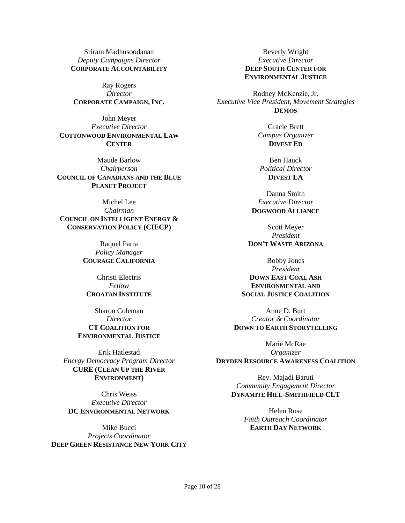Sriram Madhusoodanan *Deputy Campaigns Director* **CORPORATE ACCOUNTABILITY**

Ray Rogers *Director* **CORPORATE CAMPAIGN, INC.**

John Meyer *Executive Director* **COTTONWOOD ENVIRONMENTAL LAW CENTER**

Maude Barlow *Chairperson* **COUNCIL OF CANADIANS AND THE BLUE PLANET PROJECT**

Michel Lee *Chairman* **COUNCIL ON INTELLIGENT ENERGY & CONSERVATION POLICY (CIECP)**

> Raquel Parra *Policy Manager* **COURAGE CALIFORNIA**

Christi Electris *Fellow* **CROATAN INSTITUTE**

Sharon Coleman *Director* **CT COALITION FOR ENVIRONMENTAL JUSTICE**

Erik Hatlestad *Energy Democracy Program Director* **CURE (CLEAN UP THE RIVER ENVIRONMENT)**

Chris Weiss *Executive Director* **DC ENVIRONMENTAL NETWORK**

Mike Bucci *Projects Coordinator* **DEEP GREEN RESISTANCE NEW YORK CITY**

Beverly Wright *Executive Director* **DEEP SOUTH CENTER FOR ENVIRONMENTAL JUSTICE**

Rodney McKenzie, Jr. *Executive Vice President, Movement Strategies* **DĒMOS**

> Gracie Brett *Campus Organizer* **DIVEST ED**

Ben Hauck *Political Director* **DIVEST LA**

Danna Smith *Executive Director* **DOGWOOD ALLIANCE**

Scott Meyer *President* **DON'T WASTE ARIZONA**

Bobby Jones *President* **DOWN EAST COAL ASH ENVIRONMENTAL AND SOCIAL JUSTICE COALITION**

Anne D. Burt *Creator & Coordinator* **DOWN TO EARTH STORYTELLING**

Marie McRae *Organizer* **DRYDEN RESOURCE AWARENESS COALITION**

> Rev. Majadi Baruti *Community Engagement Director* **DYNAMITE HILL-SMITHFIELD CLT**

> > Helen Rose *Faith Outreach Coordinator* **EARTH DAY NETWORK**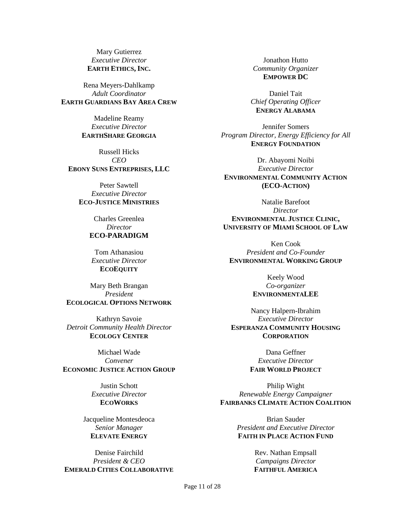Mary Gutierrez *Executive Director* **EARTH ETHICS, INC.**

Rena Meyers-Dahlkamp *Adult Coordinator* **EARTH GUARDIANS BAY AREA CREW**

> Madeline Reamy *Executive Director* **EARTHSHARE GEORGIA**

Russell Hicks *CEO* **EBONY SUNS ENTREPRISES, LLC**

Peter Sawtell *Executive Director* **ECO-JUSTICE MINISTRIES**

> Charles Greenlea *Director* **ECO-PARADIGM**

Tom Athanasiou *Executive Director* **ECOEQUITY**

Mary Beth Brangan *President* **ECOLOGICAL OPTIONS NETWORK**

Kathryn Savoie *Detroit Community Health Director* **ECOLOGY CENTER**

Michael Wade *Convener* **ECONOMIC JUSTICE ACTION GROUP**

> Justin Schott *Executive Director* **ECOWORKS**

Jacqueline Montesdeoca *Senior Manager* **ELEVATE ENERGY**

Denise Fairchild *President & CEO* **EMERALD CITIES COLLABORATIVE**

Jonathon Hutto *Community Organizer* **EMPOWER DC**

Daniel Tait *Chief Operating Officer* **ENERGY ALABAMA**

Jennifer Somers *Program Director, Energy Efficiency for All* **ENERGY FOUNDATION**

Dr. Abayomi Noibi *Executive Director* **ENVIRONMENTAL COMMUNITY ACTION (ECO-ACTION)**

Natalie Barefoot *Director* **ENVIRONMENTAL JUSTICE CLINIC, UNIVERSITY OF MIAMI SCHOOL OF LAW**

Ken Cook *President and Co-Founder* **ENVIRONMENTAL WORKING GROUP**

> Keely Wood *Co-organizer* **ENVIRONMENTALEE**

Nancy Halpern-Ibrahim *Executive Director* **ESPERANZA COMMUNITY HOUSING CORPORATION**

> Dana Geffner *Executive Director* **FAIR WORLD PROJECT**

Philip Wight *Renewable Energy Campaigner* **FAIRBANKS CLIMATE ACTION COALITION**

> Brian Sauder *President and Executive Director* **FAITH IN PLACE ACTION FUND**

> > Rev. Nathan Empsall *Campaigns Director* **FAITHFUL AMERICA**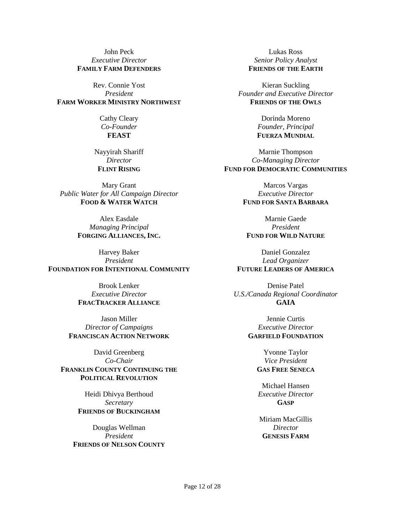John Peck *Executive Director* **FAMILY FARM DEFENDERS**

Rev. Connie Yost *President* **FARM WORKER MINISTRY NORTHWEST**

> Cathy Cleary *Co-Founder* **FEAST**

Nayyirah Shariff *Director* **FLINT RISING**

Mary Grant *Public Water for All Campaign Director* **FOOD & WATER WATCH**

> Alex Easdale *Managing Principal* **FORGING ALLIANCES, INC.**

Harvey Baker *President* **FOUNDATION FOR INTENTIONAL COMMUNITY**

> Brook Lenker *Executive Director* **FRACTRACKER ALLIANCE**

Jason Miller *Director of Campaigns* **FRANCISCAN ACTION NETWORK**

David Greenberg *Co-Chair* **FRANKLIN COUNTY CONTINUING THE POLITICAL REVOLUTION**

> Heidi Dhivya Berthoud *Secretary* **FRIENDS OF BUCKINGHAM**

Douglas Wellman *President* **FRIENDS OF NELSON COUNTY**

Lukas Ross *Senior Policy Analyst* **FRIENDS OF THE EARTH**

Kieran Suckling *Founder and Executive Director* **FRIENDS OF THE OWLS**

> Dorinda Moreno *Founder, Principal* **FUERZA MUNDIAL**

Marnie Thompson *Co-Managing Director* **FUND FOR DEMOCRATIC COMMUNITIES**

> Marcos Vargas *Executive Director* **FUND FOR SANTA BARBARA**

Marnie Gaede *President* **FUND FOR WILD NATURE**

Daniel Gonzalez *Lead Organizer* **FUTURE LEADERS OF AMERICA**

Denise Patel *U.S./Canada Regional Coordinator* **GAIA**

> Jennie Curtis *Executive Director* **GARFIELD FOUNDATION**

> > Yvonne Taylor *Vice President* **GAS FREE SENECA**

Michael Hansen *Executive Director* **GASP**

Miriam MacGillis *Director* **GENESIS FARM**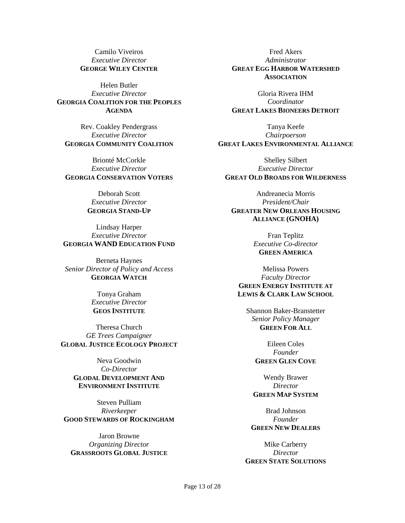Camilo Viveiros *Executive Director* **GEORGE WILEY CENTER**

Helen Butler *Executive Director* **GEORGIA COALITION FOR THE PEOPLES AGENDA**

Rev. Coakley Pendergrass *Executive Director* **GEORGIA COMMUNITY COALITION**

Brionté McCorkle *Executive Director* **GEORGIA CONSERVATION VOTERS**

> Deborah Scott *Executive Director* **GEORGIA STAND-UP**

Lindsay Harper *Executive Director* **GEORGIA WAND EDUCATION FUND**

Berneta Haynes *Senior Director of Policy and Access* **GEORGIA WATCH**

> Tonya Graham *Executive Director* **GEOS INSTITUTE**

Theresa Church *GE Trees Campaigner* **GLOBAL JUSTICE ECOLOGY PROJECT**

> Neva Goodwin *Co-Director* **GLODAL DEVELOPMENT AND ENVIRONMENT INSTITUTE**

Steven Pulliam *Riverkeeper* **GOOD STEWARDS OF ROCKINGHAM**

Jaron Browne *Organizing Director* **GRASSROOTS GLOBAL JUSTICE**

Fred Akers *Administrator* **GREAT EGG HARBOR WATERSHED ASSOCIATION**

Gloria Rivera IHM *Coordinator* **GREAT LAKES BIONEERS DETROIT**

Tanya Keefe *Chairpoerson* **GREAT LAKES ENVIRONMENTAL ALLIANCE**

Shelley Silbert *Executive Director* **GREAT OLD BROADS FOR WILDERNESS**

Andreanecia Morris *President/Chair* **GREATER NEW ORLEANS HOUSING ALLIANCE (GNOHA)**

> Fran Teplitz *Executive Co-director* **GREEN AMERICA**

Melissa Powers *Faculty Director* **GREEN ENERGY INSTITUTE AT LEWIS & CLARK LAW SCHOOL**

Shannon Baker-Branstetter *Senior Policy Manager* **GREEN FOR ALL**

> Eileen Coles *Founder* **GREEN GLEN COVE**

Wendy Brawer *Director* **GREEN MAP SYSTEM**

Brad Johnson *Founder* **GREEN NEW DEALERS**

Mike Carberry *Director* **GREEN STATE SOLUTIONS**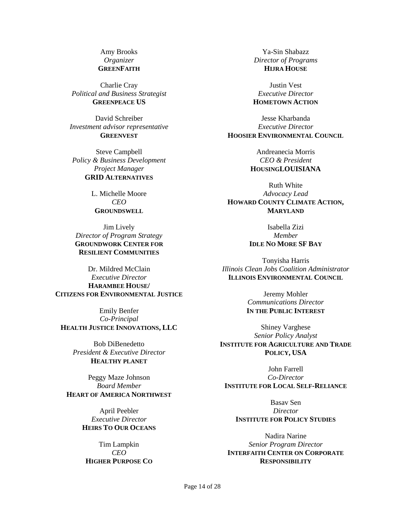Amy Brooks *Organizer* **GREENFAITH**

Charlie Cray *Political and Business Strategist* **GREENPEACE US**

David Schreiber *Investment advisor representative* **GREENVEST**

Steve Campbell *Policy & Business Development Project Manager* **GRID ALTERNATIVES**

> L. Michelle Moore *CEO* **GROUNDSWELL**

Jim Lively *Director of Program Strategy* **GROUNDWORK CENTER FOR RESILIENT COMMUNITIES**

Dr. Mildred McClain *Executive Director* **HARAMBEE HOUSE/ CITIZENS FOR ENVIRONMENTAL JUSTICE**

Emily Benfer *Co-Principal* **HEALTH JUSTICE INNOVATIONS, LLC**

> Bob DiBenedetto *President & Executive Director* **HEALTHY PLANET**

Peggy Maze Johnson *Board Member* **HEART OF AMERICA NORTHWEST**

> April Peebler *Executive Director* **HEIRS TO OUR OCEANS**

Tim Lampkin *CEO* **HIGHER PURPOSE CO**

Ya-Sin Shabazz *Director of Programs* **HIJRA HOUSE**

Justin Vest *Executive Director* **HOMETOWN ACTION**

Jesse Kharbanda *Executive Director* **HOOSIER ENVIRONMENTAL COUNCIL**

> Andreanecia Morris *CEO & President* **HOUSINGLOUISIANA**

Ruth White *Advocacy Lead* **HOWARD COUNTY CLIMATE ACTION, MARYLAND**

> Isabella Zizi *Member*

#### **IDLE NO MORE SF BAY**

Tonyisha Harris *Illinois Clean Jobs Coalition Administrator* **ILLINOIS ENVIRONMENTAL COUNCIL**

> Jeremy Mohler *Communications Director* **IN THE PUBLIC INTEREST**

Shiney Varghese *Senior Policy Analyst* **INSTITUTE FOR AGRICULTURE AND TRADE POLICY, USA**

John Farrell *Co-Director* **INSTITUTE FOR LOCAL SELF-RELIANCE**

Basav Sen *Director* **INSTITUTE FOR POLICY STUDIES**

Nadira Narine *Senior Program Director* **INTERFAITH CENTER ON CORPORATE RESPONSIBILITY**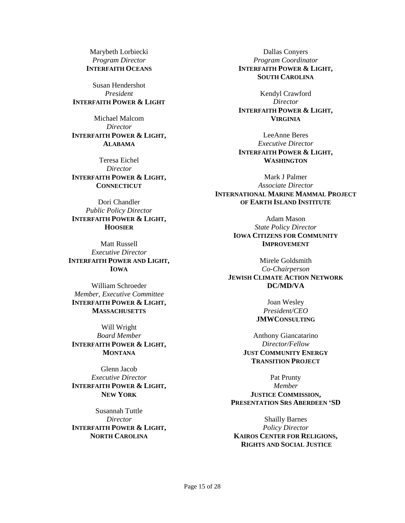Marybeth Lorbiecki *Program Director* **INTERFAITH OCEANS**

Susan Hendershot *President* **INTERFAITH POWER & LIGHT**

Michael Malcom *Director* **INTERFAITH POWER & LIGHT, ALABAMA**

Teresa Eichel *Director* **INTERFAITH POWER & LIGHT, CONNECTICUT**

Dori Chandler *Public Policy Director* **INTERFAITH POWER & LIGHT, HOOSIER**

Matt Russell *Executive Director* **INTERFAITH POWER AND LIGHT, IOWA**

William Schroeder *Member, Executive Committee* **INTERFAITH POWER & LIGHT, MASSACHUSETTS**

Will Wright *Board Member* **INTERFAITH POWER & LIGHT, MONTANA**

Glenn Jacob *Executive Director* **INTERFAITH POWER & LIGHT, NEW YORK**

Susannah Tuttle *Director* **INTERFAITH POWER & LIGHT, NORTH CAROLINA**

Dallas Conyers *Program Coordinator* **INTERFAITH POWER & LIGHT, SOUTH CAROLINA**

Kendyl Crawford *Director* **INTERFAITH POWER & LIGHT, VIRGINIA**

LeeAnne Beres *Executive Director* **INTERFAITH POWER & LIGHT, WASHINGTON**

Mark J Palmer *Associate Director* **INTERNATIONAL MARINE MAMMAL PROJECT OF EARTH ISLAND INSTITUTE**

> Adam Mason *State Policy Director* **IOWA CITIZENS FOR COMMUNITY IMPROVEMENT**

Mirele Goldsmith *Co-Chairperson* **JEWISH CLIMATE ACTION NETWORK DC/MD/VA**

> Joan Wesley *President/CEO* **JMWCONSULTING**

Anthony Giancatarino *Director/Fellow* **JUST COMMUNITY ENERGY TRANSITION PROJECT**

Pat Prunty *Member* **JUSTICE COMMISSION, PRESENTATION SRS ABERDEEN 'SD**

Shailly Barnes *Policy Director* **KAIROS CENTER FOR RELIGIONS, RIGHTS AND SOCIAL JUSTICE**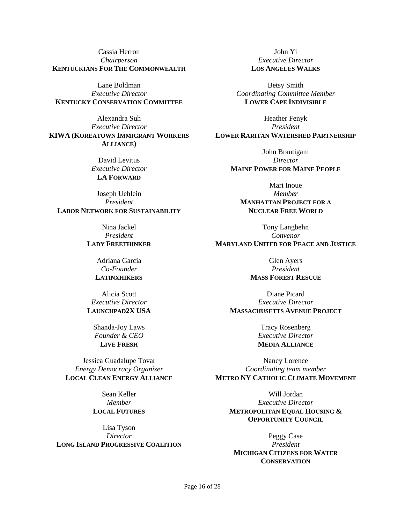Cassia Herron *Chairperson* **KENTUCKIANS FOR THE COMMONWEALTH**

Lane Boldman *Executive Director* **KENTUCKY CONSERVATION COMMITTEE**

Alexandra Suh *Executive Director* **KIWA (KOREATOWN IMMIGRANT WORKERS ALLIANCE)**

> David Levitus *Executive Director* **LA FORWARD**

Joseph Uehlein *President* **LABOR NETWORK FOR SUSTAINABILITY**

> Nina Jackel *President*

### **LADY FREETHINKER**

Adriana Garcia *Co-Founder* **LATINXHIKERS**

Alicia Scott *Executive Director* **LAUNCHPAD2X USA**

Shanda-Joy Laws *Founder & CEO* **LIVE FRESH**

Jessica Guadalupe Tovar *Energy Democracy Organizer* **LOCAL CLEAN ENERGY ALLIANCE**

> Sean Keller *Member* **LOCAL FUTURES**

Lisa Tyson *Director* **LONG ISLAND PROGRESSIVE COALITION**

John Yi *Executive Director* **LOS ANGELES WALKS**

Betsy Smith *Coordinating Committee Member* **LOWER CAPE INDIVISIBLE**

Heather Fenyk *President* **LOWER RARITAN WATERSHED PARTNERSHIP**

> John Brautigam *Director* **MAINE POWER FOR MAINE PEOPLE**

Mari Inoue *Member* **MANHATTAN PROJECT FOR A NUCLEAR FREE WORLD**

Tony Langbehn *Convenor* **MARYLAND UNITED FOR PEACE AND JUSTICE**

> Glen Ayers *President* **MASS FOREST RESCUE**

Diane Picard *Executive Director* **MASSACHUSETTS AVENUE PROJECT**

> Tracy Rosenberg *Executive Director* **MEDIA ALLIANCE**

Nancy Lorence *Coordinating team member* **METRO NY CATHOLIC CLIMATE MOVEMENT**

Will Jordan *Executive Director* **METROPOLITAN EQUAL HOUSING & OPPORTUNITY COUNCIL**

Peggy Case *President* **MICHIGAN CITIZENS FOR WATER CONSERVATION**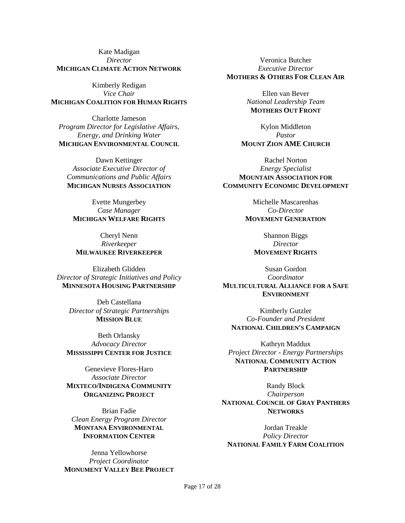Kate Madigan *Director* **MICHIGAN CLIMATE ACTION NETWORK**

Kimberly Redigan *Vice Chair* **MICHIGAN COALITION FOR HUMAN RIGHTS**

Charlotte Jameson *Program Director for Legislative Affairs, Energy, and Drinking Water* **MICHIGAN ENVIRONMENTAL COUNCIL**

Dawn Kettinger *Associate Executive Director of Communications and Public Affairs* **MICHIGAN NURSES ASSOCIATION**

Evette Mungerbey *Case Manager* **MICHIGAN WELFARE RIGHTS**

Cheryl Nenn *Riverkeeper* **MILWAUKEE RIVERKEEPER**

Elizabeth Glidden *Director of Strategic Initiatives and Policy* **MINNESOTA HOUSING PARTNERSHIP**

Deb Castellana *Director of Strategic Partnerships* **MISSION BLUE**

Beth Orlansky *Advocacy Director* **MISSISSIPPI CENTER FOR JUSTICE**

Genevieve Flores-Haro *Associate Director* **MIXTECO/INDIGENA COMMUNITY ORGANIZING PROJECT**

Brian Fadie *Clean Energy Program Director* **MONTANA ENVIRONMENTAL INFORMATION CENTER**

Jenna Yellowhorse *Project Coordinator* **MONUMENT VALLEY BEE PROJECT**

Veronica Butcher *Executive Director* **MOTHERS & OTHERS FOR CLEAN AIR**

> Ellen van Bever *National Leadership Team* **MOTHERS OUT FRONT**

Kylon Middleton *Pastor* **MOUNT ZION AME CHURCH**

Rachel Norton *Energy Specialist* **MOUNTAIN ASSOCIATION FOR COMMUNITY ECONOMIC DEVELOPMENT**

> Michelle Mascarenhas *Co-Director* **MOVEMENT GENERATION**

Shannon Biggs *Director* **MOVEMENT RIGHTS**

Susan Gordon *Coordinator* **MULTICULTURAL ALLIANCE FOR A SAFE ENVIRONMENT**

Kimberly Gutzler *Co-Founder and President* **NATIONAL CHILDREN'S CAMPAIGN**

Kathryn Maddux *Project Director - Energy Partnerships* **NATIONAL COMMUNITY ACTION PARTNERSHIP**

Randy Block *Chairperson* **NATIONAL COUNCIL OF GRAY PANTHERS NETWORKS**

Jordan Treakle *Policy Director* **NATIONAL FAMILY FARM COALITION**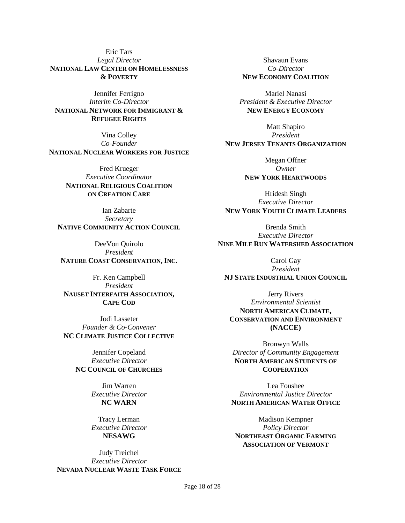Eric Tars *Legal Director* **NATIONAL LAW CENTER ON HOMELESSNESS & POVERTY**

Jennifer Ferrigno *Interim Co-Director* **NATIONAL NETWORK FOR IMMIGRANT & REFUGEE RIGHTS**

Vina Colley *Co-Founder* **NATIONAL NUCLEAR WORKERS FOR JUSTICE**

> Fred Krueger *Executive Coordinator* **NATIONAL RELIGIOUS COALITION ON CREATION CARE**

Ian Zabarte *Secretary* **NATIVE COMMUNITY ACTION COUNCIL**

DeeVon Quirolo *President* **NATURE COAST CONSERVATION, INC.**

Fr. Ken Campbell *President* **NAUSET INTERFAITH ASSOCIATION, CAPE COD**

Jodi Lasseter *Founder & Co-Convener* **NC CLIMATE JUSTICE COLLECTIVE**

> Jennifer Copeland *Executive Director* **NC COUNCIL OF CHURCHES**

> > Jim Warren *Executive Director* **NC WARN**

> > Tracy Lerman *Executive Director* **NESAWG**

Judy Treichel *Executive Director* **NEVADA NUCLEAR WASTE TASK FORCE**

Shavaun Evans *Co-Director* **NEW ECONOMY COALITION**

Mariel Nanasi *President & Executive Director* **NEW ENERGY ECONOMY**

Matt Shapiro *President* **NEW JERSEY TENANTS ORGANIZATION**

> Megan Offner *Owner* **NEW YORK HEARTWOODS**

Hridesh Singh *Executive Director* **NEW YORK YOUTH CLIMATE LEADERS**

> Brenda Smith *Executive Director*

**NINE MILE RUN WATERSHED ASSOCIATION**

Carol Gay *President* **NJ STATE INDUSTRIAL UNION COUNCIL**

Jerry Rivers *Environmental Scientist* **NORTH AMERICAN CLIMATE, CONSERVATION AND ENVIRONMENT (NACCE)**

Bronwyn Walls *Director of Community Engagement* **NORTH AMERICAN STUDENTS OF COOPERATION**

Lea Foushee *Environmental Justice Director* **NORTH AMERICAN WATER OFFICE**

Madison Kempner *Policy Director* **NORTHEAST ORGANIC FARMING ASSOCIATION OF VERMONT**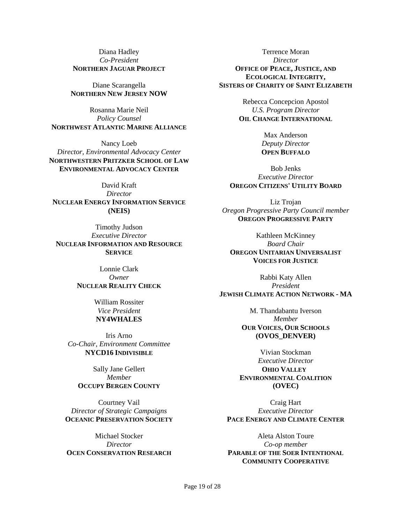Diana Hadley *Co-President* **NORTHERN JAGUAR PROJECT**

Diane Scarangella **NORTHERN NEW JERSEY NOW**

Rosanna Marie Neil *Policy Counsel* **NORTHWEST ATLANTIC MARINE ALLIANCE**

Nancy Loeb *Director, Environmental Advocacy Center* **NORTHWESTERN PRITZKER SCHOOL OF LAW ENVIRONMENTAL ADVOCACY CENTER**

David Kraft *Director* **NUCLEAR ENERGY INFORMATION SERVICE (NEIS)**

Timothy Judson *Executive Director* **NUCLEAR INFORMATION AND RESOURCE SERVICE**

> Lonnie Clark *Owner* **NUCLEAR REALITY CHECK**

> > William Rossiter *Vice President* **NY4WHALES**

Iris Arno *Co-Chair, Environment Committee* **NYCD16 INDIVISIBLE**

Sally Jane Gellert *Member* **OCCUPY BERGEN COUNTY**

Courtney Vail *Director of Strategic Campaigns* **OCEANIC PRESERVATION SOCIETY**

Michael Stocker *Director* **OCEN CONSERVATION RESEARCH**

Terrence Moran *Director* **OFFICE OF PEACE, JUSTICE, AND ECOLOGICAL INTEGRITY, SISTERS OF CHARITY OF SAINT ELIZABETH**

> Rebecca Concepcion Apostol *U.S. Program Director* **OIL CHANGE INTERNATIONAL**

> > Max Anderson *Deputy Director* **OPEN BUFFALO**

Bob Jenks *Executive Director* **OREGON CITIZENS' UTILITY BOARD**

Liz Trojan *Oregon Progressive Party Council member* **OREGON PROGRESSIVE PARTY**

Kathleen McKinney *Board Chair* **OREGON UNITARIAN UNIVERSALIST VOICES FOR JUSTICE**

Rabbi Katy Allen *President* **JEWISH CLIMATE ACTION NETWORK - MA**

> M. Thandabantu Iverson *Member* **OUR VOICES, OUR SCHOOLS (OVOS\_DENVER)**

Vivian Stockman *Executive Director* **OHIO VALLEY ENVIRONMENTAL COALITION (OVEC)**

Craig Hart *Executive Director* **PACE ENERGY AND CLIMATE CENTER**

Aleta Alston Toure *Co-op member* **PARABLE OF THE SOER INTENTIONAL COMMUNITY COOPERATIVE**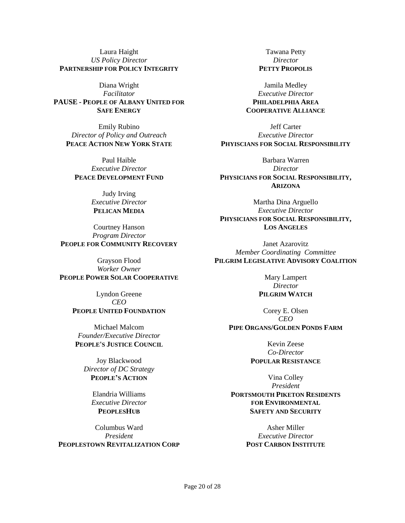Laura Haight *US Policy Director* **PARTNERSHIP FOR POLICY INTEGRITY**

Diana Wright *Facilitator* **PAUSE - PEOPLE OF ALBANY UNITED FOR SAFE ENERGY**

Emily Rubino *Director of Policy and Outreach* **PEACE ACTION NEW YORK STATE**

Paul Haible *Executive Director* **PEACE DEVELOPMENT FUND**

> Judy Irving *Executive Director* **PELICAN MEDIA**

Courtney Hanson *Program Director* **PEOPLE FOR COMMUNITY RECOVERY**

Grayson Flood *Worker Owner* **PEOPLE POWER SOLAR COOPERATIVE**

> Lyndon Greene *CEO* **PEOPLE UNITED FOUNDATION**

Michael Malcom *Founder/Executive Director* **PEOPLE'S JUSTICE COUNCIL**

Joy Blackwood *Director of DC Strategy* **PEOPLE'S ACTION**

> Elandria Williams *Executive Director* **PEOPLESHUB**

Columbus Ward *President* **PEOPLESTOWN REVITALIZATION CORP**

Tawana Petty *Director* **PETTY PROPOLIS**

Jamila Medley *Executive Director* **PHILADELPHIA AREA COOPERATIVE ALLIANCE**

Jeff Carter *Executive Director* **PHYISCIANS FOR SOCIAL RESPONSIBILITY**

Barbara Warren *Director* **PHYSICIANS FOR SOCIAL RESPONSIBILITY, ARIZONA**

Martha Dina Arguello *Executive Director* **PHYSICIANS FOR SOCIAL RESPONSIBILITY, LOS ANGELES**

Janet Azarovitz *Member Coordinating Committee* **PILGRIM LEGISLATIVE ADVISORY COALITION**

> Mary Lampert *Director* **PILGRIM WATCH**

Corey E. Olsen *CEO* **PIPE ORGANS/GOLDEN PONDS FARM**

> Kevin Zeese *Co-Director* **POPULAR RESISTANCE**

Vina Colley *President* **PORTSMOUTH PIKETON RESIDENTS FOR ENVIRONMENTAL SAFETY AND SECURITY**

> Asher Miller *Executive Director* **POST CARBON INSTITUTE**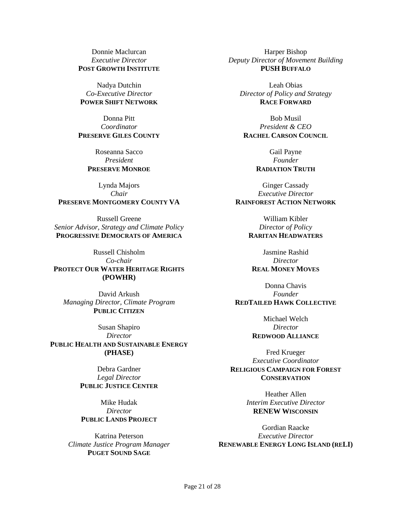Donnie Maclurcan *Executive Director* **POST GROWTH INSTITUTE**

Nadya Dutchin *Co-Executive Director* **POWER SHIFT NETWORK**

Donna Pitt *Coordinator* **PRESERVE GILES COUNTY**

> Roseanna Sacco *President* **PRESERVE MONROE**

Lynda Majors *Chair* **PRESERVE MONTGOMERY COUNTY VA**

Russell Greene *Senior Advisor, Strategy and Climate Policy* **PROGRESSIVE DEMOCRATS OF AMERICA**

Russell Chisholm *Co-chair* **PROTECT OUR WATER HERITAGE RIGHTS (POWHR)**

David Arkush *Managing Director, Climate Program* **PUBLIC CITIZEN**

Susan Shapiro *Director* **PUBLIC HEALTH AND SUSTAINABLE ENERGY (PHASE)**

> Debra Gardner *Legal Director* **PUBLIC JUSTICE CENTER**

Mike Hudak *Director* **PUBLIC LANDS PROJECT**

Katrina Peterson *Climate Justice Program Manager* **PUGET SOUND SAGE**

Harper Bishop *Deputy Director of Movement Building* **PUSH BUFFALO**

Leah Obias *Director of Policy and Strategy* **RACE FORWARD**

Bob Musil *President & CEO* **RACHEL CARSON COUNCIL**

> Gail Payne *Founder* **RADIATION TRUTH**

Ginger Cassady *Executive Director* **RAINFOREST ACTION NETWORK**

> William Kibler *Director of Policy* **RARITAN HEADWATERS**

Jasmine Rashid *Director* **REAL MONEY MOVES**

Donna Chavis *Founder* **REDTAILED HAWK COLLECTIVE**

> Michael Welch *Director* **REDWOOD ALLIANCE**

Fred Krueger *Executive Coordinator* **RELIGIOUS CAMPAIGN FOR FOREST CONSERVATION**

> Heather Allen *Interim Executive Director* **RENEW WISCONSIN**

Gordian Raacke *Executive Director* **RENEWABLE ENERGY LONG ISLAND (RELI)**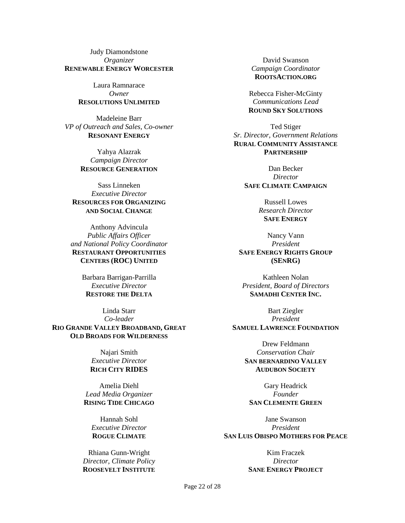Judy Diamondstone *Organizer* **RENEWABLE ENERGY WORCESTER**

> Laura Ramnarace *Owner* **RESOLUTIONS UNLIMITED**

Madeleine Barr *VP of Outreach and Sales, Co-owner* **RESONANT ENERGY**

> Yahya Alazrak *Campaign Director* **RESOURCE GENERATION**

Sass Linneken *Executive Director* **RESOURCES FOR ORGANIZING AND SOCIAL CHANGE**

Anthony Advincula *Public Affairs Officer and National Policy Coordinator* **RESTAURANT OPPORTUNITIES CENTERS (ROC) UNITED**

> Barbara Barrigan-Parrilla *Executive Director* **RESTORE THE DELTA**

Linda Starr *Co-leader* **RIO GRANDE VALLEY BROADBAND, GREAT OLD BROADS FOR WILDERNESS**

> Najari Smith *Executive Director* **RICH CITY RIDES**

Amelia Diehl *Lead Media Organizer* **RISING TIDE CHICAGO**

> Hannah Sohl *Executive Director* **ROGUE CLIMATE**

Rhiana Gunn-Wright *Director, Climate Policy* **ROOSEVELT INSTITUTE**

David Swanson *Campaign Coordinator* **ROOTSACTION.ORG**

Rebecca Fisher-McGinty *Communications Lead* **ROUND SKY SOLUTIONS**

Ted Stiger *Sr. Director, Government Relations* **RURAL COMMUNITY ASSISTANCE PARTNERSHIP**

> Dan Becker *Director* **SAFE CLIMATE CAMPAIGN**

> > Russell Lowes *Research Director* **SAFE ENERGY**

Nancy Vann *President* **SAFE ENERGY RIGHTS GROUP (SENRG)**

Kathleen Nolan *President, Board of Directors* **SAMADHI CENTER INC.**

Bart Ziegler *President* **SAMUEL LAWRENCE FOUNDATION**

> Drew Feldmann *Conservation Chair* **SAN BERNARDINO VALLEY AUDUBON SOCIETY**

Gary Headrick *Founder* **SAN CLEMENTE GREEN**

Jane Swanson *President* **SAN LUIS OBISPO MOTHERS FOR PEACE**

> Kim Fraczek *Director* **SANE ENERGY PROJECT**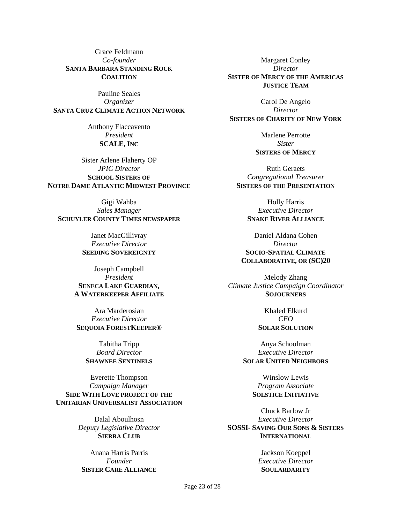Grace Feldmann *Co-founder* **SANTA BARBARA STANDING ROCK COALITION**

Pauline Seales *Organizer* **SANTA CRUZ CLIMATE ACTION NETWORK**

> Anthony Flaccavento *President* **SCALE, INC**

Sister Arlene Flaherty OP *JPIC Director* **SCHOOL SISTERS OF NOTRE DAME ATLANTIC MIDWEST PROVINCE**

Gigi Wahba *Sales Manager* **SCHUYLER COUNTY TIMES NEWSPAPER**

> Janet MacGillivray *Executive Director* **SEEDING SOVEREIGNTY**

Joseph Campbell *President* **SENECA LAKE GUARDIAN, A WATERKEEPER AFFILIATE**

Ara Marderosian *Executive Director* **SEQUOIA FORESTKEEPER®**

> Tabitha Tripp *Board Director* **SHAWNEE SENTINELS**

Everette Thompson *Campaign Manager* **SIDE WITH LOVE PROJECT OF THE UNITARIAN UNIVERSALIST ASSOCIATION**

> Dalal Aboulhosn *Deputy Legislative Director* **SIERRA CLUB**

Anana Harris Parris *Founder* **SISTER CARE ALLIANCE**

Margaret Conley *Director* **SISTER OF MERCY OF THE AMERICAS JUSTICE TEAM**

Carol De Angelo *Director* **SISTERS OF CHARITY OF NEW YORK**

> Marlene Perrotte *Sister* **SISTERS OF MERCY**

Ruth Geraets *Congregational Treasurer* **SISTERS OF THE PRESENTATION**

> Holly Harris *Executive Director* **SNAKE RIVER ALLIANCE**

Daniel Aldana Cohen *Director* **SOCIO-SPATIAL CLIMATE COLLABORATIVE, OR (SC)20**

Melody Zhang *Climate Justice Campaign Coordinator* **SOJOURNERS**

> Khaled Elkurd *CEO* **SOLAR SOLUTION**

Anya Schoolman *Executive Director* **SOLAR UNITED NEIGHBORS**

> Winslow Lewis *Program Associate* **SOLSTICE INITIATIVE**

Chuck Barlow Jr *Executive Director* **SOSSI- SAVING OUR SONS & SISTERS INTERNATIONAL**

> Jackson Koeppel *Executive Director* **SOULARDARITY**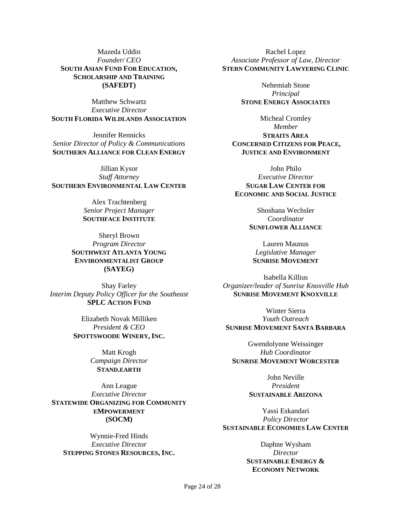Mazeda Uddin *Founder/ CEO* **SOUTH ASIAN FUND FOR EDUCATION, SCHOLARSHIP AND TRAINING (SAFEDT)**

Matthew Schwartz *Executive Director* **SOUTH FLORIDA WILDLANDS ASSOCIATION**

Jennifer Rennicks *Senior Director of Policy & Communications* **SOUTHERN ALLIANCE FOR CLEAN ENERGY**

Jillian Kysor *Staff Attorney* **SOUTHERN ENVIRONMENTAL LAW CENTER**

> Alex Trachtenberg *Senior Project Manager* **SOUTHFACE INSTITUTE**

Sheryl Brown *Program Director* **SOUTHWEST ATLANTA YOUNG ENVIRONMENTALIST GROUP (SAYEG)**

Shay Farley *Interim Deputy Policy Officer for the Southeast* **SPLC ACTION FUND**

> Elizabeth Novak Milliken *President & CEO* **SPOTTSWOODE WINERY, INC.**

> > Matt Krogh *Campaign Director* **STAND.EARTH**

Ann League *Executive Director* **STATEWIDE ORGANIZING FOR COMMUNITY EMPOWERMENT (SOCM)**

Wynnie-Fred Hinds *Executive Director* **STEPPING STONES RESOURCES, INC.**

Rachel Lopez *Associate Professor of Law, Director* **STERN COMMUNITY LAWYERING CLINIC**

> Nehemiah Stone *Principal* **STONE ENERGY ASSOCIATES**

Micheal Cromley *Member* **STRAITS AREA CONCERNED CITIZENS FOR PEACE, JUSTICE AND ENVIRONMENT**

John Philo *Executive Director* **SUGAR LAW CENTER FOR ECONOMIC AND SOCIAL JUSTICE**

> Shoshana Wechsler *Coordinator* **SUNFLOWER ALLIANCE**

Lauren Maunus *Legislative Manager* **SUNRISE MOVEMENT**

Isabella Killius *Organizer/leader of Sunrise Knoxville Hub* **SUNRISE MOVEMENT KNOXVILLE**

Winter Sierra *Youth Outreach* **SUNRISE MOVEMENT SANTA BARBARA**

Gwendolynne Weissinger *Hub Coordinator* **SUNRISE MOVEMENT WORCESTER**

> John Neville *President* **SUSTAINABLE ARIZONA**

Yassi Eskandari *Policy Director* **SUSTAINABLE ECONOMIES LAW CENTER**

> Daphne Wysham *Director* **SUSTAINABLE ENERGY & ECONOMY NETWORK**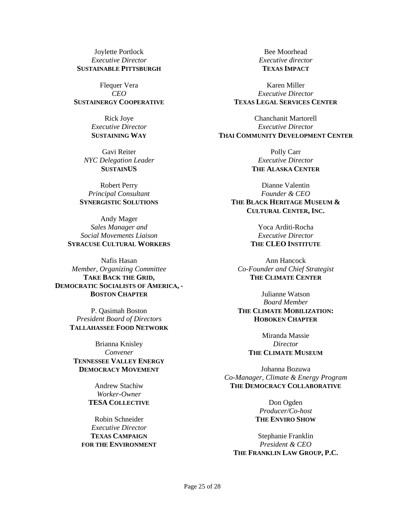Joylette Portlock *Executive Director* **SUSTAINABLE PITTSBURGH**

Flequer Vera *CEO* **SUSTAINERGY COOPERATIVE**

> Rick Joye *Executive Director* **SUSTAINING WAY**

Gavi Reiter *NYC Delegation Leader* **SUSTAINUS**

Robert Perry *Principal Consultant* **SYNERGISTIC SOLUTIONS**

Andy Mager *Sales Manager and Social Movements Liaison* **SYRACUSE CULTURAL WORKERS**

Nafis Hasan *Member, Organizing Committee* **TAKE BACK THE GRID, DEMOCRATIC SOCIALISTS OF AMERICA, - BOSTON CHAPTER**

> P. Qasimah Boston *President Board of Directors* **TALLAHASSEE FOOD NETWORK**

Brianna Knisley *Convener* **TENNESSEE VALLEY ENERGY DEMOCRACY MOVEMENT**

> Andrew Stachiw *Worker-Owner* **TESA COLLECTIVE**

Robin Schneider *Executive Director* **TEXAS CAMPAIGN FOR THE ENVIRONMENT**

Bee Moorhead *Executive director* **TEXAS IMPACT**

Karen Miller *Executive Director* **TEXAS LEGAL SERVICES CENTER**

Chanchanit Martorell *Executive Director* **THAI COMMUNITY DEVELOPMENT CENTER**

> Polly Carr *Executive Director* **THE ALASKA CENTER**

Dianne Valentin *Founder & CEO* **THE BLACK HERITAGE MUSEUM & CULTURAL CENTER, INC.**

> Yoca Arditi-Rocha *Executive Director* **THE CLEO INSTITUTE**

Ann Hancock *Co-Founder and Chief Strategist* **THE CLIMATE CENTER**

Julianne Watson *Board Member* **THE CLIMATE MOBILIZATION: HOBOKEN CHAPTER**

> Miranda Massie *Director* **THE CLIMATE MUSEUM**

Johanna Bozuwa *Co-Manager, Climate & Energy Program* **THE DEMOCRACY COLLABORATIVE**

> Don Ogden *Producer/Co-host* **THE ENVIRO SHOW**

Stephanie Franklin *President & CEO* **THE FRANKLIN LAW GROUP, P.C.**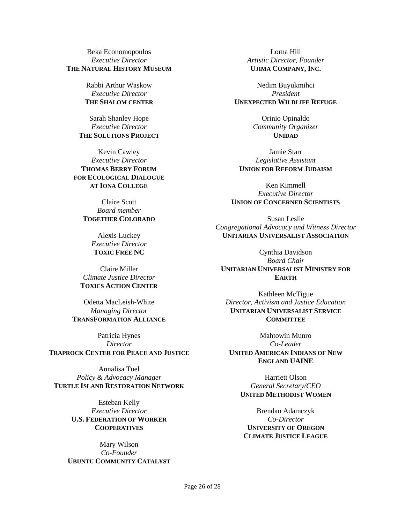#### Beka Economopoulos *Executive Director* **THE NATURAL HISTORY MUSEUM**

Rabbi Arthur Waskow *Executive Director* **THE SHALOM CENTER**

Sarah Shanley Hope *Executive Director* **THE SOLUTIONS PROJECT**

Kevin Cawley *Executive Director* **THOMAS BERRY FORUM FOR ECOLOGICAL DIALOGUE AT IONA COLLEGE**

> Claire Scott *Board member* **TOGETHER COLORADO**

> > Alexis Luckey *Executive Director* **TOXIC FREE NC**

Claire Miller *Climate Justice Director* **TOXICS ACTION CENTER**

Odetta MacLeish-White *Managing Director* **TRANSFORMATION ALLIANCE**

Patricia Hynes *Director* **TRAPROCK CENTER FOR PEACE AND JUSTICE**

Annalisa Tuel *Policy & Advocacy Manager* **TURTLE ISLAND RESTORATION NETWORK**

> Esteban Kelly *Executive Director* **U.S. FEDERATION OF WORKER COOPERATIVES**

Mary Wilson *Co-Founder* **UBUNTU COMMUNITY CATALYST**

Lorna Hill *Artistic Director, Founder* **UJIMA COMPANY, INC.**

Nedim Buyukmihci *President* **UNEXPECTED WILDLIFE REFUGE**

> Orinio Opinaldo *Community Organizer* **UNIDAD**

Jamie Starr *Legislative Assistant* **UNION FOR REFORM JUDAISM**

Ken Kimmell *Executive Director* **UNION OF CONCERNED SCIENTISTS**

Susan Leslie *Congregational Advocacy and Witness Director* **UNITARIAN UNIVERSALIST ASSOCIATION**

Cynthia Davidson *Board Chair* **UNITARIAN UNIVERSALIST MINISTRY FOR EARTH**

Kathleen McTigue *Director, Activism and Justice Education* **UNITARIAN UNIVERSALIST SERVICE COMMITTEE**

Mahtowin Munro *Co-Leader* **UNITED AMERICAN INDIANS OF NEW ENGLAND UAINE**

Harriett Olson *General Secretary/CEO* **UNITED METHODIST WOMEN**

Brendan Adamczyk *Co-Director* **UNIVERSITY OF OREGON CLIMATE JUSTICE LEAGUE**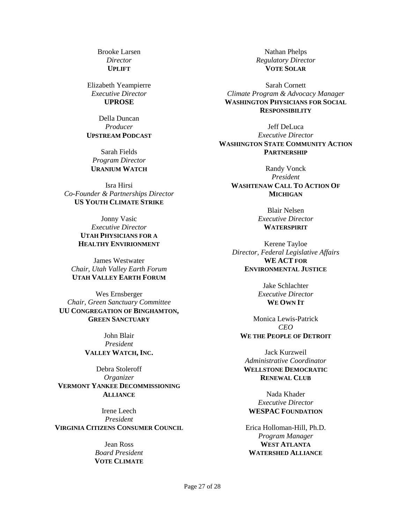Brooke Larsen *Director* **UPLIFT**

Elizabeth Yeampierre *Executive Director* **UPROSE**

Della Duncan *Producer* **UPSTREAM PODCAST**

Sarah Fields *Program Director* **URANIUM WATCH**

Isra Hirsi *Co-Founder & Partnerships Director* **US YOUTH CLIMATE STRIKE**

> Jonny Vasic *Executive Director* **UTAH PHYSICIANS FOR A HEALTHY ENVIRIONMENT**

James Westwater *Chair, Utah Valley Earth Forum* **UTAH VALLEY EARTH FORUM**

Wes Ernsberger *Chair, Green Sanctuary Committee* **UU CONGREGATION OF BINGHAMTON, GREEN SANCTUARY**

> John Blair *President* **VALLEY WATCH, INC.**

Debra Stoleroff *Organizer* **VERMONT YANKEE DECOMMISSIONING ALLIANCE**

Irene Leech *President* **VIRGINIA CITIZENS CONSUMER COUNCIL**

> Jean Ross *Board President* **VOTE CLIMATE**

Nathan Phelps *Regulatory Director* **VOTE SOLAR**

Sarah Cornett *Climate Program & Advocacy Manager* **WASHINGTON PHYSICIANS FOR SOCIAL RESPONSIBILITY**

Jeff DeLuca *Executive Director* **WASHINGTON STATE COMMUNITY ACTION PARTNERSHIP**

Randy Vonck *President* **WASHTENAW CALL TO ACTION OF MICHIGAN**

> Blair Nelsen *Executive Director* **WATERSPIRIT**

Kerene Tayloe *Director, Federal Legislative Affairs* **WE ACT FOR ENVIRONMENTAL JUSTICE**

> Jake Schlachter *Executive Director* **WE OWN IT**

Monica Lewis-Patrick *CEO* **WE THE PEOPLE OF DETROIT**

Jack Kurzweil *Administrative Coordinator* **WELLSTONE DEMOCRATIC RENEWAL CLUB**

Nada Khader *Executive Director* **WESPAC FOUNDATION**

Erica Holloman-Hill, Ph.D. *Program Manager* **WEST ATLANTA WATERSHED ALLIANCE**